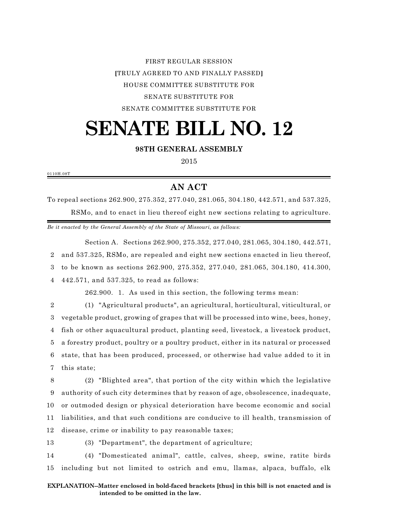FIRST REGULAR SESSION **[**TRULY AGREED TO AND FINALLY PASSED**]** HOUSE COMMITTEE SUBSTITUTE FOR SENATE SUBSTITUTE FOR SENATE COMMITTEE SUBSTITUTE FOR

# **SENATE BILL NO. 12**

## **98TH GENERAL ASSEMBLY**

2015

0110H.08T

# **AN ACT**

To repeal sections 262.900, 275.352, 277.040, 281.065, 304.180, 442.571, and 537.325, RSMo, and to enact in lieu thereof eight new sections relating to agriculture.

*Be it enacted by the General Assembly of the State of Missouri, as follows:*

Section A. Sections 262.900, 275.352, 277.040, 281.065, 304.180, 442.571, and 537.325, RSMo, are repealed and eight new sections enacted in lieu thereof, to be known as sections 262.900, 275.352, 277.040, 281.065, 304.180, 414.300, 442.571, and 537.325, to read as follows:

262.900. 1. As used in this section, the following terms mean:

 (1) "Agricultural products", an agricultural, horticultural, viticultural, or vegetable product, growing of grapes that will be processed into wine, bees, honey, fish or other aquacultural product, planting seed, livestock, a livestock product, a forestry product, poultry or a poultry product, either in its natural or processed state, that has been produced, processed, or otherwise had value added to it in this state;

 (2) "Blighted area", that portion of the city within which the legislative authority of such city determines that by reason of age, obsolescence, inadequate, or outmoded design or physical deterioration have become economic and social liabilities, and that such conditions are conducive to ill health, transmission of disease, crime or inability to pay reasonable taxes;

13 (3) "Department", the department of agriculture;

14 (4) "Domesticated animal", cattle, calves, sheep, swine, ratite birds 15 including but not limited to ostrich and emu, llamas, alpaca, buffalo, elk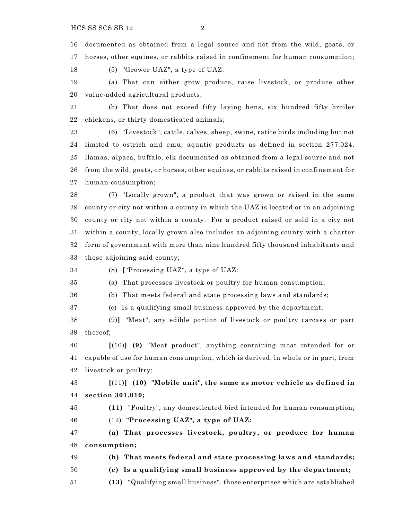documented as obtained from a legal source and not from the wild, goats, or horses, other equines, or rabbits raised in confinement for human consumption;

(5) "Grower UAZ", a type of UAZ:

 (a) That can either grow produce, raise livestock, or produce other value-added agricultural products;

 (b) That does not exceed fifty laying hens, six hundred fifty broiler chickens, or thirty domesticated animals;

 (6) "Livestock", cattle, calves, sheep, swine, ratite birds including but not limited to ostrich and emu, aquatic products as defined in section 277.024, llamas, alpaca, buffalo, elk documented as obtained from a legal source and not from the wild, goats, or horses, other equines, or rabbits raised in confinement for human consumption;

 (7) "Locally grown", a product that was grown or raised in the same county or city not within a county in which the UAZ is located or in an adjoining county or city not within a county. For a product raised or sold in a city not within a county, locally grown also includes an adjoining county with a charter form of government with more than nine hundred fifty thousand inhabitants and those adjoining said county;

(8) **[**"Processing UAZ", a type of UAZ:

(a) That processes livestock or poultry for human consumption;

(b) That meets federal and state processing laws and standards;

(c) Is a qualifying small business approved by the department;

 (9)**]** "Meat", any edible portion of livestock or poultry carcass or part thereof;

 **[**(10)**] (9)** "Meat product", anything containing meat intended for or capable of use for human consumption, which is derived, in whole or in part, from livestock or poultry;

 **[**(11)**] (10) "Mobile unit", the same as motor vehicle as defined in section 301.010;**

 **(11)** "Poultry", any domesticated bird intended for human consumption; (12) **"Processing UAZ", a type of UAZ:** 

 **(a) That processes livestock, poultry, or produce for human consumption;** 

**(b) That meets federal and state processing laws and standards;**

**(c) Is a qualifying small business approved by the department;**

**(13)** "Qualifying small business", those enterprises which are established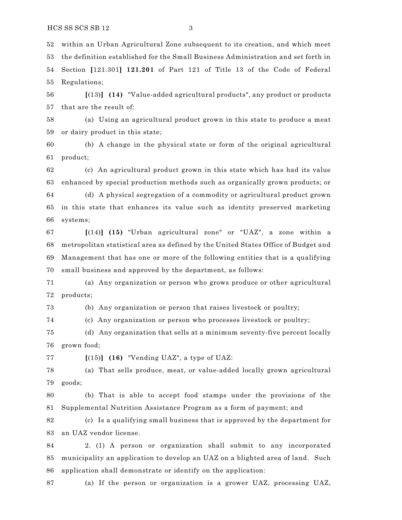within an Urban Agricultural Zone subsequent to its creation, and which meet the definition established for the Small Business Administration and set forth in Section **[**121.301**] 121.201** of Part 121 of Title 13 of the Code of Federal Regulations;

 **[**(13)**] (14)** "Value-added agricultural products", any product or products that are the result of:

 (a) Using an agricultural product grown in this state to produce a meat or dairy product in this state;

 (b) A change in the physical state or form of the original agricultural product;

 (c) An agricultural product grown in this state which has had its value enhanced by special production methods such as organically grown products; or

 (d) A physical segregation of a commodity or agricultural product grown in this state that enhances its value such as identity preserved marketing systems;

 **[**(14)**] (15)** "Urban agricultural zone" or "UAZ", a zone within a metropolitan statistical area as defined by the United States Office of Budget and Management that has one or more of the following entities that is a qualifying small business and approved by the department, as follows:

 (a) Any organization or person who grows produce or other agricultural products;

(b) Any organization or person that raises livestock or poultry;

(c) Any organization or person who processes livestock or poultry;

 (d) Any organization that sells at a minimum seventy-five percent locally grown food;

**[**(15)**] (16)** "Vending UAZ", a type of UAZ:

 (a) That sells produce, meat, or value-added locally grown agricultural goods;

 (b) That is able to accept food stamps under the provisions of the Supplemental Nutrition Assistance Program as a form of payment; and

 (c) Is a qualifying small business that is approved by the department for an UAZ vendor license.

 2. (1) A person or organization shall submit to any incorporated municipality an application to develop an UAZ on a blighted area of land. Such application shall demonstrate or identify on the application:

(a) If the person or organization is a grower UAZ, processing UAZ,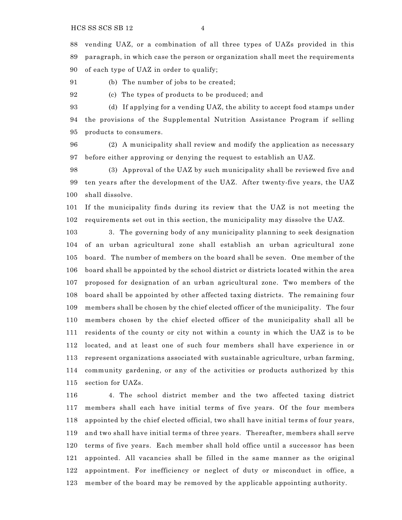vending UAZ, or a combination of all three types of UAZs provided in this paragraph, in which case the person or organization shall meet the requirements of each type of UAZ in order to qualify;

(b) The number of jobs to be created;

(c) The types of products to be produced; and

 (d) If applying for a vending UAZ, the ability to accept food stamps under the provisions of the Supplemental Nutrition Assistance Program if selling products to consumers.

 (2) A municipality shall review and modify the application as necessary before either approving or denying the request to establish an UAZ.

 (3) Approval of the UAZ by such municipality shall be reviewed five and ten years after the development of the UAZ. After twenty-five years, the UAZ shall dissolve.

 If the municipality finds during its review that the UAZ is not meeting the requirements set out in this section, the municipality may dissolve the UAZ.

 3. The governing body of any municipality planning to seek designation of an urban agricultural zone shall establish an urban agricultural zone board. The number of members on the board shall be seven. One member of the board shall be appointed by the school district or districts located within the area proposed for designation of an urban agricultural zone. Two members of the board shall be appointed by other affected taxing districts. The remaining four members shall be chosen by the chief elected officer of the municipality. The four members chosen by the chief elected officer of the municipality shall all be residents of the county or city not within a county in which the UAZ is to be located, and at least one of such four members shall have experience in or represent organizations associated with sustainable agriculture, urban farming, community gardening, or any of the activities or products authorized by this section for UAZs.

 4. The school district member and the two affected taxing district members shall each have initial terms of five years. Of the four members appointed by the chief elected official, two shall have initial terms of four years, and two shall have initial terms of three years. Thereafter, members shall serve terms of five years. Each member shall hold office until a successor has been appointed. All vacancies shall be filled in the same manner as the original appointment. For inefficiency or neglect of duty or misconduct in office, a member of the board may be removed by the applicable appointing authority.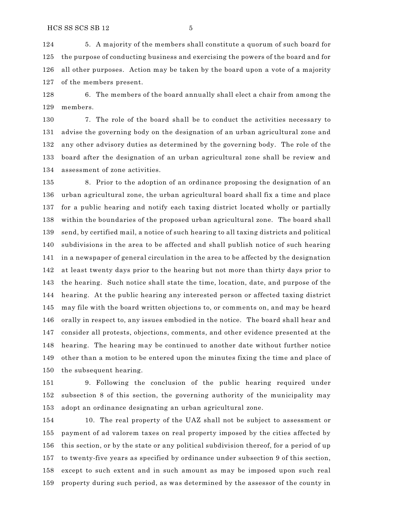5. A majority of the members shall constitute a quorum of such board for the purpose of conducting business and exercising the powers of the board and for all other purposes. Action may be taken by the board upon a vote of a majority of the members present.

 6. The members of the board annually shall elect a chair from among the members.

 7. The role of the board shall be to conduct the activities necessary to advise the governing body on the designation of an urban agricultural zone and any other advisory duties as determined by the governing body. The role of the board after the designation of an urban agricultural zone shall be review and assessment of zone activities.

 8. Prior to the adoption of an ordinance proposing the designation of an urban agricultural zone, the urban agricultural board shall fix a time and place for a public hearing and notify each taxing district located wholly or partially within the boundaries of the proposed urban agricultural zone. The board shall send, by certified mail, a notice of such hearing to all taxing districts and political subdivisions in the area to be affected and shall publish notice of such hearing in a newspaper of general circulation in the area to be affected by the designation at least twenty days prior to the hearing but not more than thirty days prior to the hearing. Such notice shall state the time, location, date, and purpose of the hearing. At the public hearing any interested person or affected taxing district may file with the board written objections to, or comments on, and may be heard orally in respect to, any issues embodied in the notice. The board shall hear and consider all protests, objections, comments, and other evidence presented at the hearing. The hearing may be continued to another date without further notice other than a motion to be entered upon the minutes fixing the time and place of the subsequent hearing.

 9. Following the conclusion of the public hearing required under subsection 8 of this section, the governing authority of the municipality may adopt an ordinance designating an urban agricultural zone.

 10. The real property of the UAZ shall not be subject to assessment or payment of ad valorem taxes on real property imposed by the cities affected by this section, or by the state or any political subdivision thereof, for a period of up to twenty-five years as specified by ordinance under subsection 9 of this section, except to such extent and in such amount as may be imposed upon such real property during such period, as was determined by the assessor of the county in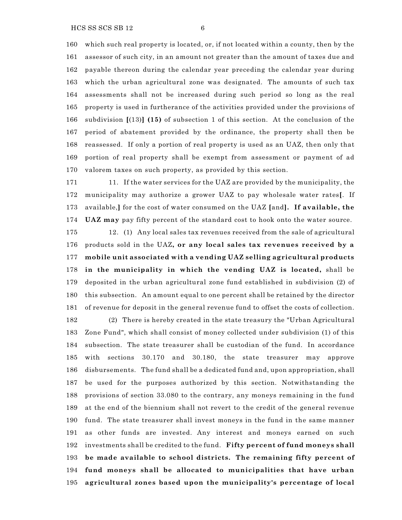which such real property is located, or, if not located within a county, then by the assessor of such city, in an amount not greater than the amount of taxes due and payable thereon during the calendar year preceding the calendar year during which the urban agricultural zone was designated. The amounts of such tax assessments shall not be increased during such period so long as the real property is used in furtherance of the activities provided under the provisions of subdivision **[**(13)**] (15)** of subsection 1 of this section. At the conclusion of the period of abatement provided by the ordinance, the property shall then be reassessed. If only a portion of real property is used as an UAZ, then only that portion of real property shall be exempt from assessment or payment of ad valorem taxes on such property, as provided by this section.

 11. If the water services for the UAZ are provided by the municipality, the municipality may authorize a grower UAZ to pay wholesale water rates**[**. If available,**]** for the cost of water consumed on the UAZ **[**and**]. If available, the UAZ may** pay fifty percent of the standard cost to hook onto the water source.

 12. (1) Any local sales tax revenues received from the sale of agricultural products sold in the UAZ**, or any local sales tax revenues received by a mobile unit associated with a vending UAZ selling agricultural products in the municipality in which the vending UAZ is located,** shall be deposited in the urban agricultural zone fund established in subdivision (2) of this subsection. An amount equal to one percent shall be retained by the director of revenue for deposit in the general revenue fund to offset the costs of collection.

 (2) There is hereby created in the state treasury the "Urban Agricultural Zone Fund", which shall consist of money collected under subdivision (1) of this subsection. The state treasurer shall be custodian of the fund. In accordance with sections 30.170 and 30.180, the state treasurer may approve disbursements. The fund shall be a dedicated fund and, upon appropriation, shall be used for the purposes authorized by this section. Notwithstanding the provisions of section 33.080 to the contrary, any moneys remaining in the fund at the end of the biennium shall not revert to the credit of the general revenue fund. The state treasurer shall invest moneys in the fund in the same manner as other funds are invested. Any interest and moneys earned on such investments shall be credited to the fund. **Fifty percent of fund moneys shall be made available to school districts. The remaining fifty percent of fund moneys shall be allocated to municipalities that have urban agricultural zones based upon the municipality's percentage of local**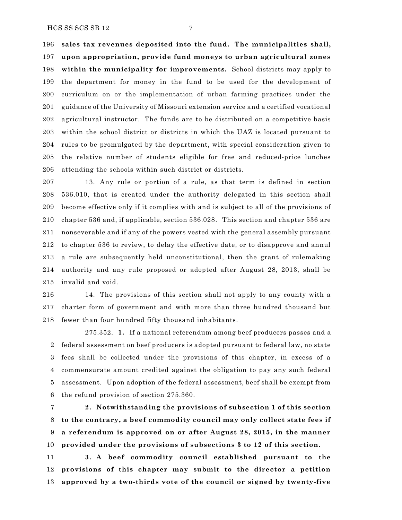**sales tax revenues deposited into the fund. The municipalities shall, upon appropriation, provide fund moneys to urban agricultural zones within the municipality for improvements.** School districts may apply to the department for money in the fund to be used for the development of curriculum on or the implementation of urban farming practices under the guidance of the University of Missouri extension service and a certified vocational agricultural instructor. The funds are to be distributed on a competitive basis within the school district or districts in which the UAZ is located pursuant to rules to be promulgated by the department, with special consideration given to the relative number of students eligible for free and reduced-price lunches 206 attending the schools within such district or districts.

 13. Any rule or portion of a rule, as that term is defined in section 536.010, that is created under the authority delegated in this section shall become effective only if it complies with and is subject to all of the provisions of chapter 536 and, if applicable, section 536.028. This section and chapter 536 are nonseverable and if any of the powers vested with the general assembly pursuant to chapter 536 to review, to delay the effective date, or to disapprove and annul a rule are subsequently held unconstitutional, then the grant of rulemaking authority and any rule proposed or adopted after August 28, 2013, shall be invalid and void.

 14. The provisions of this section shall not apply to any county with a charter form of government and with more than three hundred thousand but fewer than four hundred fifty thousand inhabitants.

275.352. **1.** If a national referendum among beef producers passes and a federal assessment on beef producers is adopted pursuant to federal law, no state fees shall be collected under the provisions of this chapter, in excess of a commensurate amount credited against the obligation to pay any such federal assessment. Upon adoption of the federal assessment, beef shall be exempt from the refund provision of section 275.360.

 **2. Notwithstanding the provisions of subsection 1 of this section to the contrary, a beef commodity council may only collect state fees if a referendum is approved on or after August 28, 2015, in the manner provided under the provisions of subsections 3 to 12 of this section.**

 **3. A beef commodity council established pursuant to the provisions of this chapter may submit to the director a petition approved by a two-thirds vote of the council or signed by twenty-five**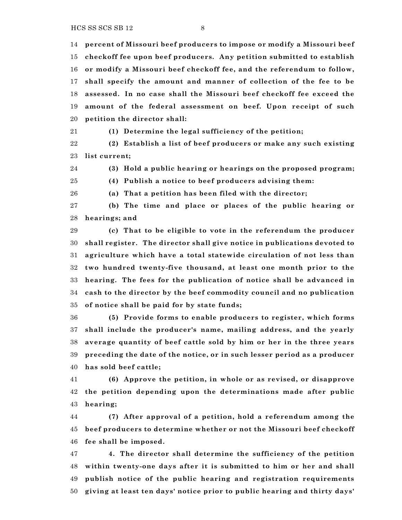$HCS SS SCS SB 12$  8

 **percent of Missouri beef producers to impose or modify a Missouri beef checkoff fee upon beef producers. Any petition submitted to establish or modify a Missouri beef checkoff fee, and the referendum to follow, shall specify the amount and manner of collection of the fee to be assessed. In no case shall the Missouri beef checkoff fee exceed the amount of the federal assessment on beef. Upon receipt of such petition the director shall:**

 **(1) Determine the legal sufficiency of the petition; (2) Establish a list of beef producers or make any such existing**

**list current;**

**(3) Hold a public hearing or hearings on the proposed program;**

**(4) Publish a notice to beef producers advising them:**

**(a) That a petition has been filed with the director;**

 **(b) The time and place or places of the public hearing or hearings; and**

 **(c) That to be eligible to vote in the referendum the producer shall register. The director shall give notice in publications devoted to agriculture which have a total statewide circulation of not less than two hundred twenty-five thousand, at least one month prior to the hearing. The fees for the publication of notice shall be advanced in cash to the director by the beef commodity council and no publication of notice shall be paid for by state funds;**

 **(5) Provide forms to enable producers to register, which forms shall include the producer's name, mailing address, and the yearly average quantity of beef cattle sold by him or her in the three years preceding the date of the notice, or in such lesser period as a producer has sold beef cattle;**

 **(6) Approve the petition, in whole or as revised, or disapprove the petition depending upon the determinations made after public hearing;**

 **(7) After approval of a petition, hold a referendum among the beef producers to determine whether or not the Missouri beef checkoff fee shall be imposed.**

 **4. The director shall determine the sufficiency of the petition within twenty-one days after it is submitted to him or her and shall publish notice of the public hearing and registration requirements giving at least ten days' notice prior to public hearing and thirty days'**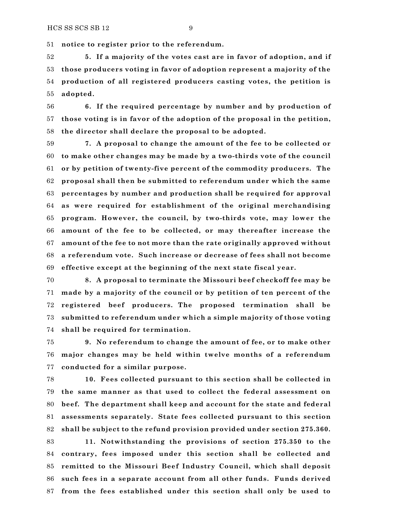**notice to register prior to the referendum.**

 **5. If a majority of the votes cast are in favor of adoption, and if those producers voting in favor of adoption represent a majority of the production of all registered producers casting votes, the petition is adopted.**

 **6. If the required percentage by number and by production of those voting is in favor of the adoption of the proposal in the petition, the director shall declare the proposal to be adopted.**

 **7. A proposal to change the amount of the fee to be collected or to make other changes may be made by a two-thirds vote of the council or by petition of twenty-five percent of the commodity producers. The proposal shall then be submitted to referendum under which the same percentages by number and production shall be required for approval as were required for establishment of the original merchandising program. However, the council, by two-thirds vote, may lower the amount of the fee to be collected, or may thereafter increase the amount of the fee to not more than the rate originally approved without a referendum vote. Such increase or decrease of fees shall not become effective except at the beginning of the next state fiscal year.**

 **8. A proposal to terminate the Missouri beef checkoff fee may be made by a majority of the council or by petition of ten percent of the registered beef producers. The proposed termination shall be submitted to referendum under which a simple majority of those voting shall be required for termination.**

 **9. No referendum to change the amount of fee, or to make other major changes may be held within twelve months of a referendum conducted for a similar purpose.**

 **10. Fees collected pursuant to this section shall be collected in the same manner as that used to collect the federal assessment on beef. The department shall keep and account for the state and federal assessments separately. State fees collected pursuant to this section shall be subject to the refund provision provided under section 275.360.**

 **11. Notwithstanding the provisions of section 275.350 to the contrary, fees imposed under this section shall be collected and remitted to the Missouri Beef Industry Council, which shall deposit such fees in a separate account from all other funds. Funds derived from the fees established under this section shall only be used to**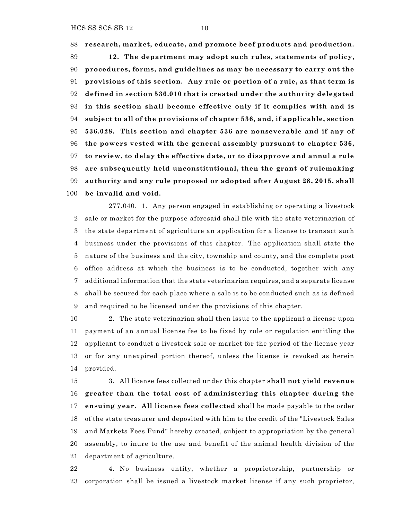**research, market, educate, and promote beef products and production. 12. The department may adopt such rules, statements of policy, procedures, forms, and guidelines as may be necessary to carry out the provisions of this section. Any rule or portion of a rule, as that term is defined in section 536.010 that is created under the authority delegated in this section shall become effective only if it complies with and is subject to all of the provisions of chapter 536, and, if applicable, section 536.028. This section and chapter 536 are nonseverable and if any of the powers vested with the general assembly pursuant to chapter 536, to review, to delay the effective date, or to disapprove and annul a rule are subsequently held unconstitutional, then the grant of rulemaking authority and any rule proposed or adopted after August 28, 2015, shall be invalid and void.**

277.040. 1. Any person engaged in establishing or operating a livestock sale or market for the purpose aforesaid shall file with the state veterinarian of the state department of agriculture an application for a license to transact such business under the provisions of this chapter. The application shall state the nature of the business and the city, township and county, and the complete post office address at which the business is to be conducted, together with any additional information that the state veterinarian requires, and a separate license shall be secured for each place where a sale is to be conducted such as is defined and required to be licensed under the provisions of this chapter.

 2. The state veterinarian shall then issue to the applicant a license upon payment of an annual license fee to be fixed by rule or regulation entitling the applicant to conduct a livestock sale or market for the period of the license year or for any unexpired portion thereof, unless the license is revoked as herein provided.

 3. All license fees collected under this chapter **shall not yield revenue greater than the total cost of administering this chapter during the ensuing year. All license fees collected** shall be made payable to the order of the state treasurer and deposited with him to the credit of the "Livestock Sales and Markets Fees Fund" hereby created, subject to appropriation by the general assembly, to inure to the use and benefit of the animal health division of the department of agriculture.

 4. No business entity, whether a proprietorship, partnership or corporation shall be issued a livestock market license if any such proprietor,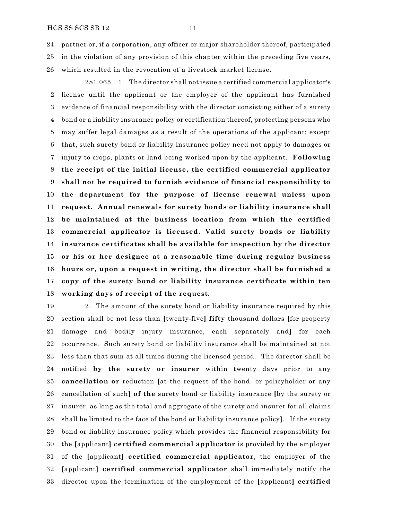partner or, if a corporation, any officer or major shareholder thereof, participated in the violation of any provision of this chapter within the preceding five years, which resulted in the revocation of a livestock market license.

281.065. 1. The director shall not issue a certified commercial applicator's license until the applicant or the employer of the applicant has furnished evidence of financial responsibility with the director consisting either of a surety bond or a liability insurance policy or certification thereof, protecting persons who may suffer legal damages as a result of the operations of the applicant; except that, such surety bond or liability insurance policy need not apply to damages or injury to crops, plants or land being worked upon by the applicant. **Following the receipt of the initial license, the certified commercial applicator shall not be required to furnish evidence of financial responsibility to the department for the purpose of license renewal unless upon request. Annual renewals for surety bonds or liability insurance shall be maintained at the business location from which the certified commercial applicator is licensed. Valid surety bonds or liability insurance certificates shall be available for inspection by the director or his or her designee at a reasonable time during regular business hours or, upon a request in writing, the director shall be furnished a copy of the surety bond or liability insurance certificate within ten working days of receipt of the request.**

 2. The amount of the surety bond or liability insurance required by this section shall be not less than **[**twenty-five**] fifty** thousand dollars **[**for property damage and bodily injury insurance, each separately and**]** for each occurrence. Such surety bond or liability insurance shall be maintained at not less than that sum at all times during the licensed period. The director shall be notified **by the surety or insurer** within twenty days prior to any **cancellation or** reduction **[**at the request of the bond- or policyholder or any cancellation of such**] of the** surety bond or liability insurance **[**by the surety or insurer, as long as the total and aggregate of the surety and insurer for all claims shall be limited to the face of the bond or liability insurance policy**]**. If the surety bond or liability insurance policy which provides the financial responsibility for the **[**applicant**] certified commercial applicator** is provided by the employer of the **[**applicant**] certified commercial applicator**, the employer of the **[**applicant**] certified commercial applicator** shall immediately notify the director upon the termination of the employment of the **[**applicant**] certified**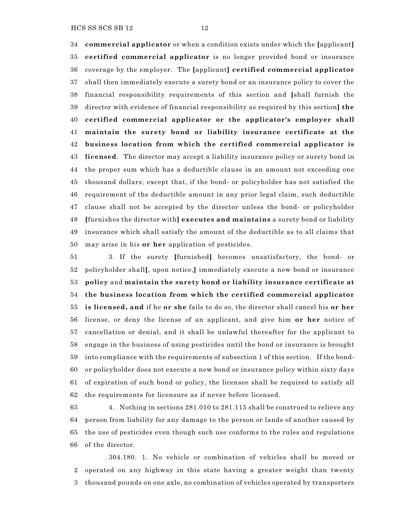**commercial applicator** or when a condition exists under which the **[**applicant**] certified commercial applicator** is no longer provided bond or insurance coverage by the employer. The **[**applicant**] certified commercial applicator** shall then immediately execute a surety bond or an insurance policy to cover the financial responsibility requirements of this section and **[**shall furnish the director with evidence of financial responsibility as required by this section**] the certified commercial applicator or the applicator's employer shall maintain the surety bond or liability insurance certificate at the business location from which the certified commercial applicator is licensed**. The director may accept a liability insurance policy or surety bond in the proper sum which has a deductible clause in an amount not exceeding one thousand dollars; except that, if the bond- or policyholder has not satisfied the requirement of the deductible amount in any prior legal claim, such deductible clause shall not be accepted by the director unless the bond- or policyholder **[**furnishes the director with**] executes and maintains** a surety bond or liability insurance which shall satisfy the amount of the deductible as to all claims that may arise in his **or her** application of pesticides.

 3. If the surety **[**furnished**]** becomes unsatisfactory, the bond- or policyholder shall**[**, upon notice,**]** immediately execute a new bond or insurance **policy** and **maintain the surety bond or liability insurance certificate at the business location from which the certified commercial applicator is licensed, and** if he **or she** fails to do so, the director shall cancel his **or her** license, or deny the license of an applicant, and give him **or her** notice of cancellation or denial, and it shall be unlawful thereafter for the applicant to engage in the business of using pesticides until the bond or insurance is brought into compliance with the requirements of subsection 1 of this section. If the bond- or policyholder does not execute a new bond or insurance policy within sixty days of expiration of such bond or policy, the licensee shall be required to satisfy all the requirements for licensure as if never before licensed.

 4. Nothing in sections 281.010 to 281.115 shall be construed to relieve any person from liability for any damage to the person or lands of another caused by the use of pesticides even though such use conforms to the rules and regulations of the director.

304.180. 1. No vehicle or combination of vehicles shall be moved or operated on any highway in this state having a greater weight than twenty thousand pounds on one axle, no combination of vehicles operated by transporters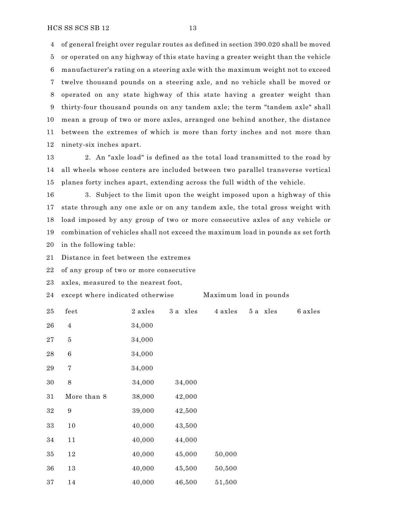of general freight over regular routes as defined in section 390.020 shall be moved or operated on any highway of this state having a greater weight than the vehicle manufacturer's rating on a steering axle with the maximum weight not to exceed twelve thousand pounds on a steering axle, and no vehicle shall be moved or operated on any state highway of this state having a greater weight than thirty-four thousand pounds on any tandem axle; the term "tandem axle" shall mean a group of two or more axles, arranged one behind another, the distance between the extremes of which is more than forty inches and not more than ninety-six inches apart.

 2. An "axle load" is defined as the total load transmitted to the road by all wheels whose centers are included between two parallel transverse vertical planes forty inches apart, extending across the full width of the vehicle.

 3. Subject to the limit upon the weight imposed upon a highway of this state through any one axle or on any tandem axle, the total gross weight with load imposed by any group of two or more consecutive axles of any vehicle or combination of vehicles shall not exceed the maximum load in pounds as set forth in the following table:

Distance in feet between the extremes

of any group of two or more consecutive

axles, measured to the nearest foot,

| 24       | except where indicated otherwise |         |          | Maximum load in pounds |          |         |  |
|----------|----------------------------------|---------|----------|------------------------|----------|---------|--|
| 25       | feet                             | 2 axles | 3 a xles | 4 axles                | 5 a xles | 6 axles |  |
| 26       | $\overline{4}$                   | 34,000  |          |                        |          |         |  |
| 27       | $\bf 5$                          | 34,000  |          |                        |          |         |  |
| $\bf 28$ | $\,6\,$                          | 34,000  |          |                        |          |         |  |
| 29       | $\!\!7$                          | 34,000  |          |                        |          |         |  |
| 30       | $\,8\,$                          | 34,000  | 34,000   |                        |          |         |  |
| 31       | More than 8                      | 38,000  | 42,000   |                        |          |         |  |
| $32\,$   | $\boldsymbol{9}$                 | 39,000  | 42,500   |                        |          |         |  |
| 33       | 10                               | 40,000  | 43,500   |                        |          |         |  |
| 34       | 11                               | 40,000  | 44,000   |                        |          |         |  |
| 35       | 12                               | 40,000  | 45,000   | 50,000                 |          |         |  |
| 36       | 13                               | 40,000  | 45,500   | 50,500                 |          |         |  |
| 37       | 14                               | 40,000  | 46,500   | 51,500                 |          |         |  |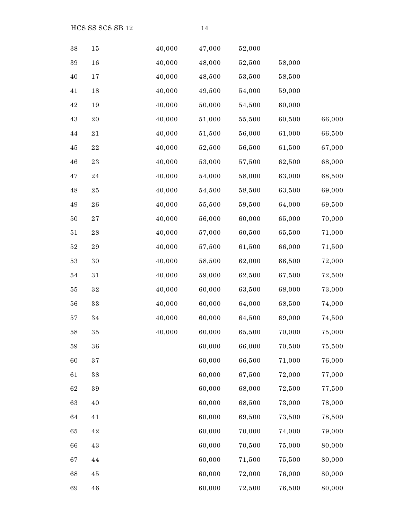$HCS SS SCS SB 12$  14

| 38     | 15          | 40,000 | 47,000 | 52,000 |        |        |
|--------|-------------|--------|--------|--------|--------|--------|
| 39     | 16          | 40,000 | 48,000 | 52,500 | 58,000 |        |
| 40     | 17          | 40,000 | 48,500 | 53,500 | 58,500 |        |
| 41     | 18          | 40,000 | 49,500 | 54,000 | 59,000 |        |
| 42     | 19          | 40,000 | 50,000 | 54,500 | 60,000 |        |
| 43     | $2\sqrt{0}$ | 40,000 | 51,000 | 55,500 | 60,500 | 66,000 |
| 44     | 21          | 40,000 | 51,500 | 56,000 | 61,000 | 66,500 |
| 45     | $\bf{22}$   | 40,000 | 52,500 | 56,500 | 61,500 | 67,000 |
| 46     | 23          | 40,000 | 53,000 | 57,500 | 62,500 | 68,000 |
| 47     | 24          | 40,000 | 54,000 | 58,000 | 63,000 | 68,500 |
| 48     | $25\,$      | 40,000 | 54,500 | 58,500 | 63,500 | 69,000 |
| 49     | 26          | 40,000 | 55,500 | 59,500 | 64,000 | 69,500 |
| 50     | 27          | 40,000 | 56,000 | 60,000 | 65,000 | 70,000 |
| 51     | $\bf{28}$   | 40,000 | 57,000 | 60,500 | 65,500 | 71,000 |
| 52     | 29          | 40,000 | 57,500 | 61,500 | 66,000 | 71,500 |
| $53\,$ | $30\,$      | 40,000 | 58,500 | 62,000 | 66,500 | 72,000 |
| 54     | 31          | 40,000 | 59,000 | 62,500 | 67,500 | 72,500 |
| 55     | $32\,$      | 40,000 | 60,000 | 63,500 | 68,000 | 73,000 |
| 56     | $3\sqrt{3}$ | 40,000 | 60,000 | 64,000 | 68,500 | 74,000 |
| 57     | 34          | 40,000 | 60,000 | 64,500 | 69,000 | 74,500 |
| 58     | 35          | 40,000 | 60,000 | 65,500 | 70,000 | 75,000 |
| 59     | 36          |        | 60,000 | 66,000 | 70,500 | 75,500 |
| 60     | $3\,7$      |        | 60,000 | 66,500 | 71,000 | 76,000 |
| 61     | $38\,$      |        | 60,000 | 67,500 | 72,000 | 77,000 |
| 62     | 39          |        | 60,000 | 68,000 | 72,500 | 77,500 |
| 63     | 40          |        | 60,000 | 68,500 | 73,000 | 78,000 |
| 64     | 41          |        | 60,000 | 69,500 | 73,500 | 78,500 |
| 65     | $42\,$      |        | 60,000 | 70,000 | 74,000 | 79,000 |
| 66     | 43          |        | 60,000 | 70,500 | 75,000 | 80,000 |
| 67     | 44          |        | 60,000 | 71,500 | 75,500 | 80,000 |
| 68     | 45          |        | 60,000 | 72,000 | 76,000 | 80,000 |
| 69     | 46          |        | 60,000 | 72,500 | 76,500 | 80,000 |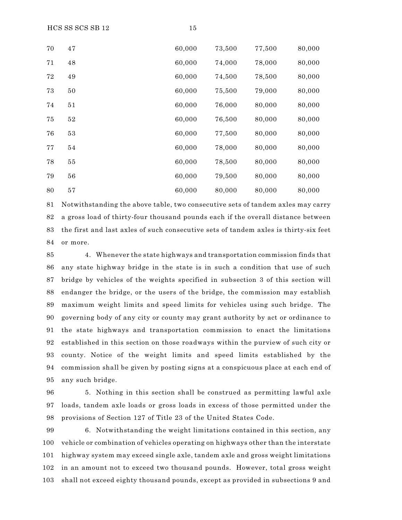$HCS SS SCS SB 12$  15

| 70 | 47 | 60,000 | 73,500 | 77,500 | 80,000 |
|----|----|--------|--------|--------|--------|
| 71 | 48 | 60,000 | 74,000 | 78,000 | 80,000 |
| 72 | 49 | 60,000 | 74,500 | 78,500 | 80,000 |
| 73 | 50 | 60,000 | 75,500 | 79,000 | 80,000 |
| 74 | 51 | 60,000 | 76,000 | 80,000 | 80,000 |
| 75 | 52 | 60,000 | 76,500 | 80,000 | 80,000 |
| 76 | 53 | 60,000 | 77,500 | 80,000 | 80,000 |
| 77 | 54 | 60,000 | 78,000 | 80,000 | 80,000 |
| 78 | 55 | 60,000 | 78,500 | 80,000 | 80,000 |
| 79 | 56 | 60,000 | 79,500 | 80,000 | 80,000 |
| 80 | 57 | 60,000 | 80,000 | 80,000 | 80,000 |

 Notwithstanding the above table, two consecutive sets of tandem axles may carry a gross load of thirty-four thousand pounds each if the overall distance between the first and last axles of such consecutive sets of tandem axles is thirty-six feet or more.

 4. Whenever the state highways and transportation commission finds that any state highway bridge in the state is in such a condition that use of such bridge by vehicles of the weights specified in subsection 3 of this section will endanger the bridge, or the users of the bridge, the commission may establish maximum weight limits and speed limits for vehicles using such bridge. The governing body of any city or county may grant authority by act or ordinance to the state highways and transportation commission to enact the limitations established in this section on those roadways within the purview of such city or county. Notice of the weight limits and speed limits established by the commission shall be given by posting signs at a conspicuous place at each end of any such bridge.

 5. Nothing in this section shall be construed as permitting lawful axle loads, tandem axle loads or gross loads in excess of those permitted under the provisions of Section 127 of Title 23 of the United States Code.

 6. Notwithstanding the weight limitations contained in this section, any vehicle or combination of vehicles operating on highways other than the interstate highway system may exceed single axle, tandem axle and gross weight limitations in an amount not to exceed two thousand pounds. However, total gross weight shall not exceed eighty thousand pounds, except as provided in subsections 9 and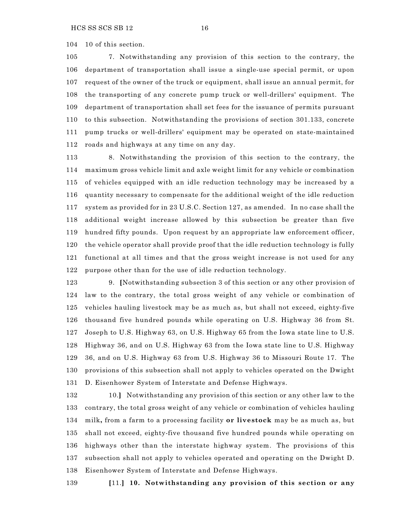10 of this section.

 7. Notwithstanding any provision of this section to the contrary, the department of transportation shall issue a single-use special permit, or upon request of the owner of the truck or equipment, shall issue an annual permit, for the transporting of any concrete pump truck or well-drillers' equipment. The department of transportation shall set fees for the issuance of permits pursuant to this subsection. Notwithstanding the provisions of section 301.133, concrete pump trucks or well-drillers' equipment may be operated on state-maintained roads and highways at any time on any day.

 8. Notwithstanding the provision of this section to the contrary, the maximum gross vehicle limit and axle weight limit for any vehicle or combination of vehicles equipped with an idle reduction technology may be increased by a quantity necessary to compensate for the additional weight of the idle reduction system as provided for in 23 U.S.C. Section 127, as amended. In no case shall the additional weight increase allowed by this subsection be greater than five hundred fifty pounds. Upon request by an appropriate law enforcement officer, the vehicle operator shall provide proof that the idle reduction technology is fully functional at all times and that the gross weight increase is not used for any purpose other than for the use of idle reduction technology.

 9. **[**Notwithstanding subsection 3 of this section or any other provision of law to the contrary, the total gross weight of any vehicle or combination of vehicles hauling livestock may be as much as, but shall not exceed, eighty-five thousand five hundred pounds while operating on U.S. Highway 36 from St. Joseph to U.S. Highway 63, on U.S. Highway 65 from the Iowa state line to U.S. Highway 36, and on U.S. Highway 63 from the Iowa state line to U.S. Highway 36, and on U.S. Highway 63 from U.S. Highway 36 to Missouri Route 17. The provisions of this subsection shall not apply to vehicles operated on the Dwight D. Eisenhower System of Interstate and Defense Highways.

 10.**]** Notwithstanding any provision of this section or any other law to the contrary, the total gross weight of any vehicle or combination of vehicles hauling milk**,** from a farm to a processing facility **or livestock** may be as much as, but shall not exceed, eighty-five thousand five hundred pounds while operating on highways other than the interstate highway system. The provisions of this subsection shall not apply to vehicles operated and operating on the Dwight D. Eisenhower System of Interstate and Defense Highways.

**[**11.**] 10. Notwithstanding any provision of this section or any**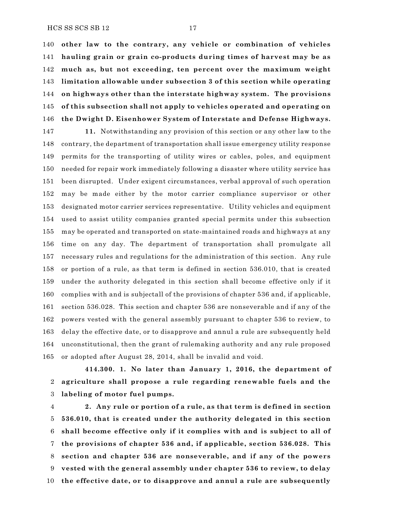HCS SS SCS SB 12 17

 **other law to the contrary, any vehicle or combination of vehicles hauling grain or grain co-products during times of harvest may be as much as, but not exceeding, ten percent over the maximum weight limitation allowable under subsection 3 of this section while operating on highways other than the interstate highway system. The provisions of this subsection shall not apply to vehicles operated and operating on the Dwight D. Eisenhower System of Interstate and Defense Highways.**

 **11.** Notwithstanding any provision of this section or any other law to the contrary, the department of transportation shall issue emergency utility response permits for the transporting of utility wires or cables, poles, and equipment needed for repair work immediately following a disaster where utility service has been disrupted. Under exigent circumstances, verbal approval of such operation may be made either by the motor carrier compliance supervisor or other designated motor carrier services representative. Utility vehicles and equipment used to assist utility companies granted special permits under this subsection may be operated and transported on state-maintained roads and highways at any time on any day. The department of transportation shall promulgate all necessary rules and regulations for the administration of this section. Any rule or portion of a rule, as that term is defined in section 536.010, that is created under the authority delegated in this section shall become effective only if it complies with and is subjectall of the provisions of chapter 536 and, if applicable, section 536.028. This section and chapter 536 are nonseverable and if any of the powers vested with the general assembly pursuant to chapter 536 to review, to delay the effective date, or to disapprove and annul a rule are subsequently held unconstitutional, then the grant of rulemaking authority and any rule proposed or adopted after August 28, 2014, shall be invalid and void.

**414.300. 1. No later than January 1, 2016, the department of agriculture shall propose a rule regarding renewable fuels and the labeling of motor fuel pumps.**

 **2. Any rule or portion of a rule, as that term is defined in section 536.010, that is created under the authority delegated in this section shall become effective only if it complies with and is subject to all of the provisions of chapter 536 and, if applicable, section 536.028. This section and chapter 536 are nonseverable, and if any of the powers vested with the general assembly under chapter 536 to review, to delay the effective date, or to disapprove and annul a rule are subsequently**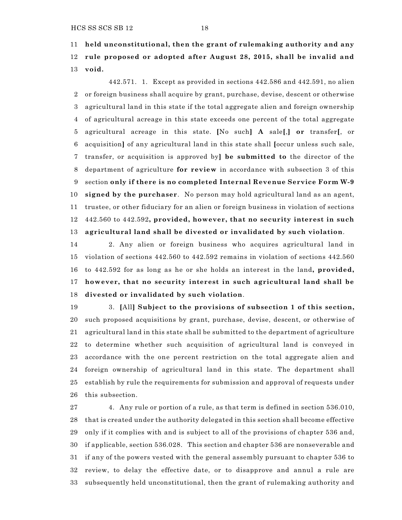**held unconstitutional, then the grant of rulemaking authority and any rule proposed or adopted after August 28, 2015, shall be invalid and void.**

442.571. 1. Except as provided in sections 442.586 and 442.591, no alien or foreign business shall acquire by grant, purchase, devise, descent or otherwise agricultural land in this state if the total aggregate alien and foreign ownership of agricultural acreage in this state exceeds one percent of the total aggregate agricultural acreage in this state. **[**No such**] A** sale**[**,**] or** transfer**[**, or acquisition**]** of any agricultural land in this state shall **[**occur unless such sale, transfer, or acquisition is approved by**] be submitted to** the director of the department of agriculture **for review** in accordance with subsection 3 of this section **only if there is no completed Internal Revenue Service Form W-9 signed by the purchaser**. No person may hold agricultural land as an agent, trustee, or other fiduciary for an alien or foreign business in violation of sections 442.560 to 442.592**, provided, however, that no security interest in such agricultural land shall be divested or invalidated by such violation**.

 2. Any alien or foreign business who acquires agricultural land in violation of sections 442.560 to 442.592 remains in violation of sections 442.560 to 442.592 for as long as he or she holds an interest in the land**, provided, however, that no security interest in such agricultural land shall be divested or invalidated by such violation**.

 3. **[**All**] Subject to the provisions of subsection 1 of this section,** such proposed acquisitions by grant, purchase, devise, descent, or otherwise of agricultural land in this state shall be submitted to the department of agriculture to determine whether such acquisition of agricultural land is conveyed in accordance with the one percent restriction on the total aggregate alien and foreign ownership of agricultural land in this state. The department shall establish by rule the requirements for submission and approval of requests under this subsection.

 4. Any rule or portion of a rule, as that term is defined in section 536.010, that is created under the authority delegated in this section shall become effective only if it complies with and is subject to all of the provisions of chapter 536 and, if applicable, section 536.028. This section and chapter 536 are nonseverable and if any of the powers vested with the general assembly pursuant to chapter 536 to review, to delay the effective date, or to disapprove and annul a rule are subsequently held unconstitutional, then the grant of rulemaking authority and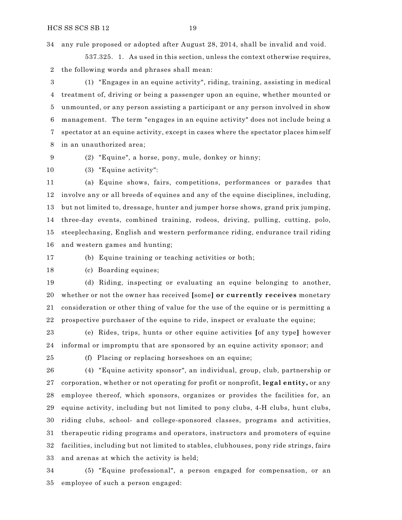any rule proposed or adopted after August 28, 2014, shall be invalid and void.

537.325. 1. As used in this section, unless the context otherwise requires, the following words and phrases shall mean:

 (1) "Engages in an equine activity", riding, training, assisting in medical treatment of, driving or being a passenger upon an equine, whether mounted or unmounted, or any person assisting a participant or any person involved in show management. The term "engages in an equine activity" does not include being a spectator at an equine activity, except in cases where the spectator places himself in an unauthorized area;

(2) "Equine", a horse, pony, mule, donkey or hinny;

(3) "Equine activity":

 (a) Equine shows, fairs, competitions, performances or parades that involve any or all breeds of equines and any of the equine disciplines, including, but not limited to, dressage, hunter and jumper horse shows, grand prix jumping, three-day events, combined training, rodeos, driving, pulling, cutting, polo, steeplechasing, English and western performance riding, endurance trail riding and western games and hunting;

(b) Equine training or teaching activities or both;

(c) Boarding equines;

 (d) Riding, inspecting or evaluating an equine belonging to another, whether or not the owner has received **[**some**] or currently receives** monetary consideration or other thing of value for the use of the equine or is permitting a prospective purchaser of the equine to ride, inspect or evaluate the equine;

 (e) Rides, trips, hunts or other equine activities **[**of any type**]** however informal or impromptu that are sponsored by an equine activity sponsor; and

(f) Placing or replacing horseshoes on an equine;

 (4) "Equine activity sponsor", an individual, group, club, partnership or corporation, whether or not operating for profit or nonprofit, **legal entity,** or any employee thereof, which sponsors, organizes or provides the facilities for, an equine activity, including but not limited to pony clubs, 4-H clubs, hunt clubs, riding clubs, school- and college-sponsored classes, programs and activities, therapeutic riding programs and operators, instructors and promoters of equine facilities, including but not limited to stables, clubhouses, pony ride strings, fairs and arenas at which the activity is held;

 (5) "Equine professional", a person engaged for compensation, or an employee of such a person engaged: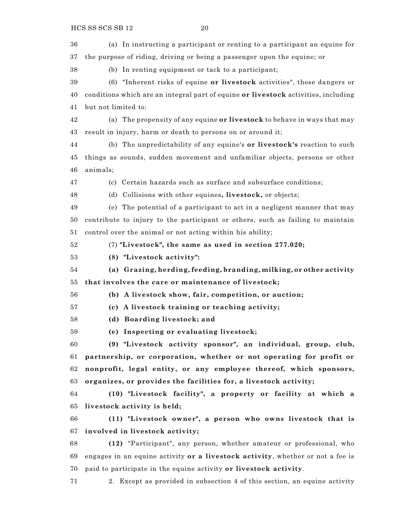(a) In instructing a participant or renting to a participant an equine for the purpose of riding, driving or being a passenger upon the equine; or

(b) In renting equipment or tack to a participant;

 (6) "Inherent risks of equine **or livestock** activities", those dangers or conditions which are an integral part of equine **or livestock** activities, including but not limited to:

 (a) The propensity of any equine **or livestock** to behave in ways that may result in injury, harm or death to persons on or around it;

 (b) The unpredictability of any equine's **or livestock's** reaction to such things as sounds, sudden movement and unfamiliar objects, persons or other animals;

(c) Certain hazards such as surface and subsurface conditions;

(d) Collisions with other equines**, livestock,** or objects;

 (e) The potential of a participant to act in a negligent manner that may contribute to injury to the participant or others, such as failing to maintain control over the animal or not acting within his ability;

(7) **"Livestock", the same as used in section 277.020;**

**(8) "Livestock activity":**

 **(a) Grazing, herding, feeding, branding, milking, or other activity that involves the care or maintenance of livestock;**

**(b) A livestock show, fair, competition, or auction;**

**(c) A livestock training or teaching activity;**

**(d) Boarding livestock; and**

**(e) Inspecting or evaluating livestock;**

 **(9) "Livestock activity sponsor", an individual, group, club, partnership, or corporation, whether or not operating for profit or nonprofit, legal entity, or any employee thereof, which sponsors, organizes, or provides the facilities for, a livestock activity;**

 **(10) "Livestock facility", a property or facility at which a livestock activity is held;**

 **(11) "Livestock owner", a person who owns livestock that is involved in livestock activity;**

 **(12)** "Participant", any person, whether amateur or professional, who engages in an equine activity **or a livestock activity**, whether or not a fee is paid to participate in the equine activity **or livestock activity**.

2. Except as provided in subsection 4 of this section, an equine activity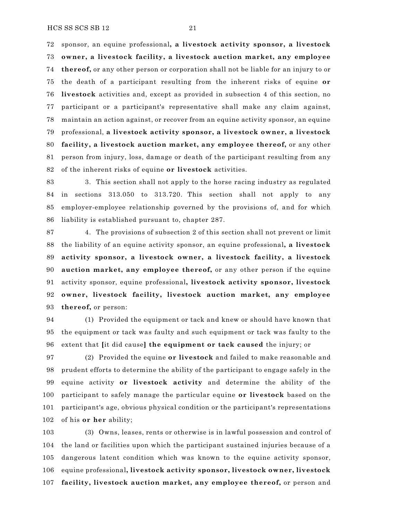sponsor, an equine professional**, a livestock activity sponsor, a livestock owner, a livestock facility, a livestock auction market, any employee thereof,** or any other person or corporation shall not be liable for an injury to or the death of a participant resulting from the inherent risks of equine **or livestock** activities and, except as provided in subsection 4 of this section, no participant or a participant's representative shall make any claim against, maintain an action against, or recover from an equine activity sponsor, an equine professional, **a livestock activity sponsor, a livestock owner, a livestock facility, a livestock auction market, any employee thereof,** or any other person from injury, loss, damage or death of the participant resulting from any of the inherent risks of equine **or livestock** activities.

 3. This section shall not apply to the horse racing industry as regulated in sections 313.050 to 313.720. This section shall not apply to any employer-employee relationship governed by the provisions of, and for which liability is established pursuant to, chapter 287.

 4. The provisions of subsection 2 of this section shall not prevent or limit the liability of an equine activity sponsor, an equine professional**, a livestock activity sponsor, a livestock owner, a livestock facility, a livestock auction market, any employee thereof,** or any other person if the equine activity sponsor, equine professional**, livestock activity sponsor, livestock owner, livestock facility, livestock auction market, any employee thereof,** or person:

 (1) Provided the equipment or tack and knew or should have known that the equipment or tack was faulty and such equipment or tack was faulty to the extent that **[**it did cause**] the equipment or tack caused** the injury; or

 (2) Provided the equine **or livestock** and failed to make reasonable and prudent efforts to determine the ability of the participant to engage safely in the equine activity **or livestock activity** and determine the ability of the participant to safely manage the particular equine **or livestock** based on the participant's age, obvious physical condition or the participant's representations of his **or her** ability;

 (3) Owns, leases, rents or otherwise is in lawful possession and control of the land or facilities upon which the participant sustained injuries because of a dangerous latent condition which was known to the equine activity sponsor, equine professional**, livestock activity sponsor, livestock owner, livestock facility, livestock auction market, any employee thereof,** or person and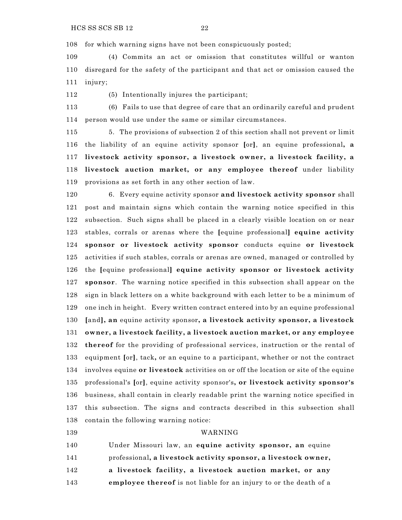for which warning signs have not been conspicuously posted;

 (4) Commits an act or omission that constitutes willful or wanton disregard for the safety of the participant and that act or omission caused the injury;

(5) Intentionally injures the participant;

 (6) Fails to use that degree of care that an ordinarily careful and prudent person would use under the same or similar circumstances.

 5. The provisions of subsection 2 of this section shall not prevent or limit the liability of an equine activity sponsor **[**or**]**, an equine professional**, a livestock activity sponsor, a livestock owner, a livestock facility, a livestock auction market, or any employee thereof** under liability provisions as set forth in any other section of law.

 6. Every equine activity sponsor **and livestock activity sponsor** shall post and maintain signs which contain the warning notice specified in this subsection. Such signs shall be placed in a clearly visible location on or near stables, corrals or arenas where the **[**equine professional**] equine activity sponsor or livestock activity sponsor** conducts equine **or livestock** activities if such stables, corrals or arenas are owned, managed or controlled by the **[**equine professional**] equine activity sponsor or livestock activity sponsor**. The warning notice specified in this subsection shall appear on the sign in black letters on a white background with each letter to be a minimum of one inch in height. Every written contract entered into by an equine professional **[**and**], an** equine activity sponsor**, a livestock activity sponsor, a livestock owner, a livestock facility, a livestock auction market, or any employee thereof** for the providing of professional services, instruction or the rental of equipment **[**or**]**, tack**,** or an equine to a participant, whether or not the contract involves equine **or livestock** activities on or off the location or site of the equine professional's **[**or**]**, equine activity sponsor's**, or livestock activity sponsor's** business, shall contain in clearly readable print the warning notice specified in this subsection. The signs and contracts described in this subsection shall contain the following warning notice:

#### WARNING

 Under Missouri law, an **equine activity sponsor, an** equine professional**, a livestock activity sponsor, a livestock owner, a livestock facility, a livestock auction market, or any employee thereof** is not liable for an injury to or the death of a